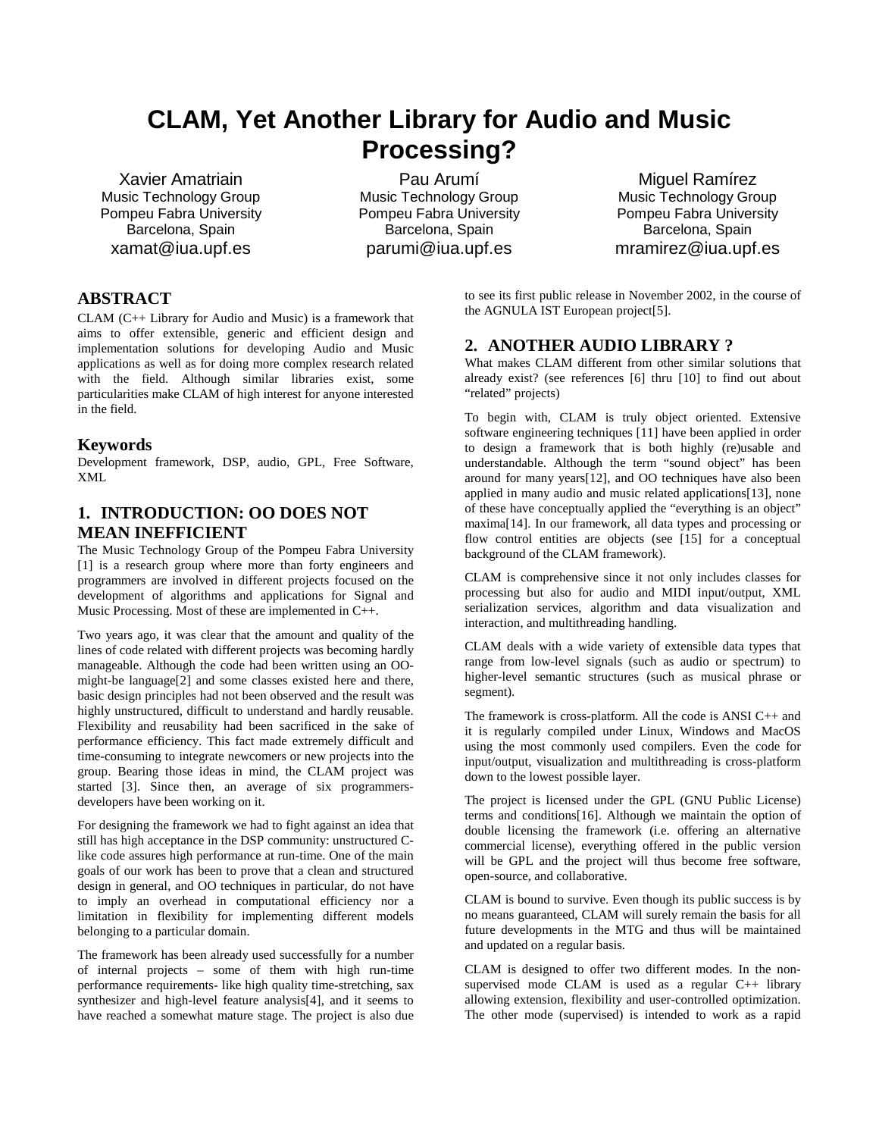# **CLAM, Yet Another Library for Audio and Music Processing?**

Xavier Amatriain Music Technology Group Pompeu Fabra University Barcelona, Spain xamat@iua.upf.es

Pau Arumí Music Technology Group Pompeu Fabra University Barcelona, Spain parumi@iua.upf.es

Miguel Ramírez Music Technology Group Pompeu Fabra University Barcelona, Spain mramirez@iua.upf.es

## **ABSTRACT**

CLAM (C++ Library for Audio and Music) is a framework that aims to offer extensible, generic and efficient design and implementation solutions for developing Audio and Music applications as well as for doing more complex research related with the field. Although similar libraries exist, some particularities make CLAM of high interest for anyone interested in the field.

### **Keywords**

Development framework, DSP, audio, GPL, Free Software, XML

## **1. INTRODUCTION: OO DOES NOT MEAN INEFFICIENT**

The Music Technology Group of the Pompeu Fabra University [1] is a research group where more than forty engineers and programmers are involved in different projects focused on the development of algorithms and applications for Signal and Music Processing. Most of these are implemented in C++.

Two years ago, it was clear that the amount and quality of the lines of code related with different projects was becoming hardly manageable. Although the code had been written using an OOmight-be language[2] and some classes existed here and there, basic design principles had not been observed and the result was highly unstructured, difficult to understand and hardly reusable. Flexibility and reusability had been sacrificed in the sake of performance efficiency. This fact made extremely difficult and time-consuming to integrate newcomers or new projects into the group. Bearing those ideas in mind, the CLAM project was started [3]. Since then, an average of six programmersdevelopers have been working on it.

For designing the framework we had to fight against an idea that still has high acceptance in the DSP community: unstructured Clike code assures high performance at run-time. One of the main goals of our work has been to prove that a clean and structured design in general, and OO techniques in particular, do not have to imply an overhead in computational efficiency nor a limitation in flexibility for implementing different models belonging to a particular domain.

The framework has been already used successfully for a number of internal projects – some of them with high run-time performance requirements- like high quality time-stretching, sax synthesizer and high-level feature analysis[4], and it seems to have reached a somewhat mature stage. The project is also due to see its first public release in November 2002, in the course of the AGNULA IST European project[5].

### **2. ANOTHER AUDIO LIBRARY ?**

What makes CLAM different from other similar solutions that already exist? (see references [6] thru [10] to find out about "related" projects)

To begin with, CLAM is truly object oriented. Extensive software engineering techniques [11] have been applied in order to design a framework that is both highly (re)usable and understandable. Although the term "sound object" has been around for many years[12], and OO techniques have also been applied in many audio and music related applications[13], none of these have conceptually applied the "everything is an object" maxima[14]. In our framework, all data types and processing or flow control entities are objects (see [15] for a conceptual background of the CLAM framework).

CLAM is comprehensive since it not only includes classes for processing but also for audio and MIDI input/output, XML serialization services, algorithm and data visualization and interaction, and multithreading handling.

CLAM deals with a wide variety of extensible data types that range from low-level signals (such as audio or spectrum) to higher-level semantic structures (such as musical phrase or segment).

The framework is cross-platform. All the code is ANSI C++ and it is regularly compiled under Linux, Windows and MacOS using the most commonly used compilers. Even the code for input/output, visualization and multithreading is cross-platform down to the lowest possible layer.

The project is licensed under the GPL (GNU Public License) terms and conditions[16]. Although we maintain the option of double licensing the framework (i.e. offering an alternative commercial license), everything offered in the public version will be GPL and the project will thus become free software, open-source, and collaborative.

CLAM is bound to survive. Even though its public success is by no means guaranteed, CLAM will surely remain the basis for all future developments in the MTG and thus will be maintained and updated on a regular basis.

CLAM is designed to offer two different modes. In the nonsupervised mode CLAM is used as a regular C++ library allowing extension, flexibility and user-controlled optimization. The other mode (supervised) is intended to work as a rapid